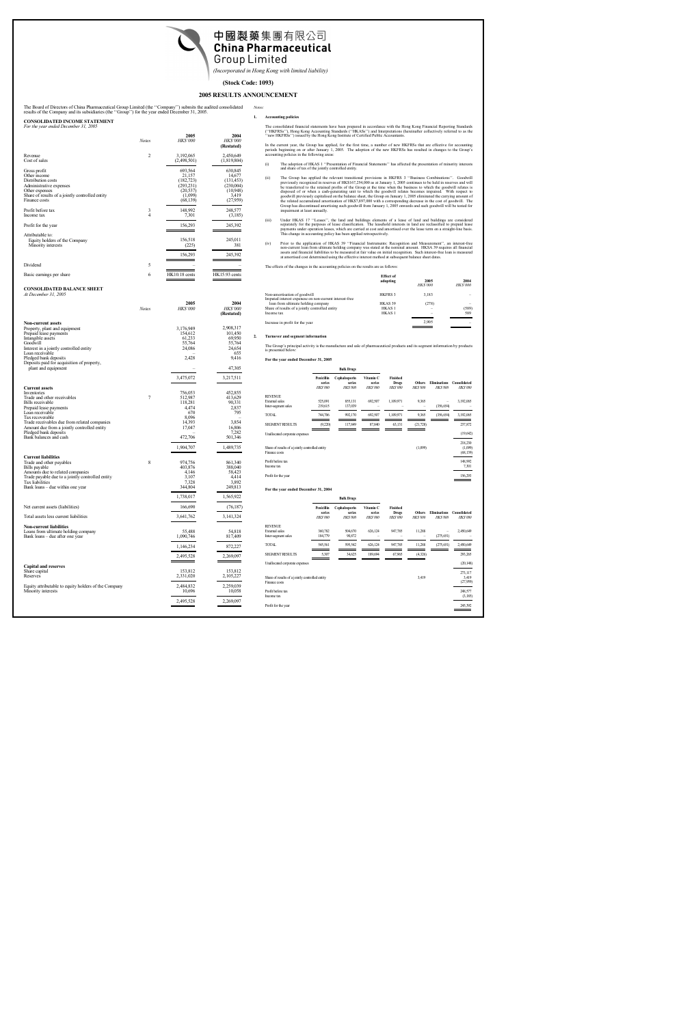

*(Incorporated in Hong Kong with limited liability)*

## **(Stock Code: 1093)**

# **2005 RESULTS ANNOUNCEMENT**

*Notes:*

The Board of Directors of China Pharmaceutical Group Limited (the ''Company'') submits the audited consolidated results of the Company and its subsidiaries (the ''Group'') for the year ended December 31, 2005.

### **CONSOLIDATED INCOME STATEMENT**  $\overline{er}$  31

| $1 or me$ year chaca December 91, 2009                                                                                                                              |                |                                                                                    |                                                                               |
|---------------------------------------------------------------------------------------------------------------------------------------------------------------------|----------------|------------------------------------------------------------------------------------|-------------------------------------------------------------------------------|
|                                                                                                                                                                     | <b>Notes</b>   | 2005<br><b>HK\$'000</b>                                                            | 2004<br><b>HK\$'000</b><br>(Restated)                                         |
| Revenue<br>Cost of sales                                                                                                                                            | $\overline{2}$ | 3,192,065<br>(2,498,501)                                                           | 2,450,649<br>(1,819,804)                                                      |
| Gross profit<br>Other income<br>Distribution costs<br>Administrative expenses<br>Other expenses<br>Share of results of a jointly controlled entity<br>Finance costs |                | 693,564<br>21,157<br>(182, 723)<br>(293, 231)<br>(20, 537)<br>(1,099)<br>(68, 139) | 630,845<br>14,677<br>(131, 453)<br>(230,004)<br>(10,948)<br>3,419<br>(27,959) |
| Profit before tax<br>Income tax                                                                                                                                     | 3<br>4         | 148,992<br>7,301                                                                   | 248,577<br>(3,185)                                                            |
| Profit for the year                                                                                                                                                 |                | 156,293                                                                            | 245,392                                                                       |
| Attributable to:<br>Equity holders of the Company<br>Minority interests                                                                                             |                | 156,518<br>(225)<br>156,293                                                        | 245,011<br>381<br>245,392                                                     |
| Dividend                                                                                                                                                            | 5              |                                                                                    |                                                                               |
| Basic earnings per share                                                                                                                                            | 6              | <b>HK10.18</b> cents                                                               | <b>HK15.93</b> cents                                                          |

### **CONSOLIDATED BALANCE SHEET** *At December 31, 2005*

|                                                                                                                                                                                                                                                                                                           | <b>Notes</b> | 2005<br><b>HK\$'000</b>                                                                            | 2004<br><b>HK\$'000</b><br>(Restated)                                                                         |
|-----------------------------------------------------------------------------------------------------------------------------------------------------------------------------------------------------------------------------------------------------------------------------------------------------------|--------------|----------------------------------------------------------------------------------------------------|---------------------------------------------------------------------------------------------------------------|
| <b>Non-current assets</b><br>Property, plant and equipment<br>Prepaid lease payments<br>Intangible assets<br>Goodwill<br>Interest in a jointly controlled entity<br>Loan receivable<br>Pledged bank deposits<br>Deposits paid for acquisition of property,<br>plant and equipment                         |              | 3,176,949<br>154,612<br>61,233<br>55,764<br>24.086<br>2,428<br>3,475,072                           | 2,908,317<br>101,450<br>69,950<br>55,764<br>24.654<br>655<br>9,416<br>47,305                                  |
| <b>Current assets</b><br>Inventories<br>Trade and other receivables<br>Bills receivable<br>Prepaid lease payments<br>Loan receivable<br>Tax recoverable<br>Trade receivables due from related companies<br>Amount due from a jointly controlled entity<br>Pledged bank deposits<br>Bank balances and cash | 7            | 756,053<br>512,987<br>118,281<br>4,474<br>670<br>8,096<br>14,393<br>17,047<br>472,706<br>1,904,707 | 3,217,511<br>452,855<br>413,629<br>90,331<br>2,837<br>795<br>3.854<br>16,806<br>7,282<br>501,346<br>1,489,735 |
| <b>Current liabilities</b><br>Trade and other payables<br>Bills payable<br>Amounts due to related companies<br>Trade payable due to a jointly controlled entity<br>Tax liabilities<br>Bank loans – due within one year                                                                                    | 8            | 974,756<br>403,876<br>4,146<br>3,107<br>7,328<br>344,804<br>1,738,017                              | 861,340<br>388,040<br>58,423<br>4.414<br>3,892<br>249,813<br>1,565,922                                        |
| Net current assets (liabilities)                                                                                                                                                                                                                                                                          |              | 166,690                                                                                            | (76, 187)                                                                                                     |
| Total assets less current liabilities                                                                                                                                                                                                                                                                     |              | 3,641,762                                                                                          | 3,141,324                                                                                                     |
| Non-current liabilities<br>Loans from ultimate holding company<br>Bank loans – due after one year                                                                                                                                                                                                         |              | 55,488<br>1,090,746<br>1,146,234                                                                   | 54,818<br>817,409<br>872,227                                                                                  |
|                                                                                                                                                                                                                                                                                                           |              | 2,495,528                                                                                          | 2,269,097                                                                                                     |
| <b>Capital and reserves</b><br>Share capital<br>Reserves                                                                                                                                                                                                                                                  |              | 153,812<br>2,331,020                                                                               | 153,812<br>2,105,227                                                                                          |
| Equity attributable to equity holders of the Company<br>Minority interests                                                                                                                                                                                                                                |              | 2,484,832<br>10,696<br>2.495.528                                                                   | 2,259,039<br>10,058<br>2.269.097                                                                              |

**1. Accounting policies**

The consolidated financial statements have been prepared in accordance with the Hong Kong Financial Reporting Standards<br>(''HKFRSs''), Hong Kong Accounting Standards (''HKASs'') and Interpretations (hereinafter collectively

In the current year, the Group has applied, for the first time, a number of new HKFRSs that are effective for accounting<br>periods beginning on or after January 1, 2005. The adoption of the new HKFRSs has resulted in changes

- (i) The adoption of HKAS 1 ''Presentation of Financial Statements'' has affected the presentation of minority interests and share of tax of the jointly controlled entity.
- (ii) The Group has applied the relevant transitional provisions in HKFRS 3 "Business Combinations". Goodwill previously recognized in reserves of HK\$167,254,000 as at January 1, 2005 continues to be held in reserves and wi goodwill previously capitalised on the balance sheet, the Group on January 1, 2005 eliminated the carrying amount of<br>the related accumulated amortisation of HK\$7,897,000 with a corresponding decrease in the cost of goodwil impairment at least annually.
- (iii) Under HKAS 17 "Leases", the land and buildings elements of a lease of land and buildings are considered<br>separately for the purposes of lease classification. The leasehold interests in land are reclassified to prepaid
- (iv) Prior to the application of HKAS 39 ''Financial Instruments: Recognition and Measurement'', an interest-free non-current loan from ultimate holding company was stated at the nominal amount. HKSA 39 requires all financial<br>assets and financial liabilities to be measured at fair value on initial recognition. Such interest-free loan

The effects of the changes in the accounting policies on the results are as follows:

|                                                        | <b>Effect</b> of<br>adopting | 2005<br><b>HKS'000</b> | 2004<br><b>HK\$'000</b> |
|--------------------------------------------------------|------------------------------|------------------------|-------------------------|
| Non-amortisation of goodwill                           | <b>HKFRS 3</b>               | 3,183                  |                         |
| Imputed interest expenese on non-current interest-free |                              |                        |                         |
| loan from ultimate holding company                     | HKAS 39                      | (278)                  |                         |
| Share of results of a jointly controlled entity        | HKAS <sub>1</sub>            | -                      | (589)                   |
| Income tax                                             | HKAS <sub>1</sub>            |                        | 589                     |
| Increase in profit for the year                        |                              | 2.905                  |                         |
|                                                        |                              |                        |                         |

### **2. Turnover and segment information**

The Group's principal activity is the manufacture and sale of pharmaceutical products and its segment information by products is presented below:

### **For the year ended December 31, 2005**

|                                                                  | <b>Bulk Drugs</b>                      |                                            |                                       |                                            |                                  |                                        |                                 |
|------------------------------------------------------------------|----------------------------------------|--------------------------------------------|---------------------------------------|--------------------------------------------|----------------------------------|----------------------------------------|---------------------------------|
|                                                                  | Penicillin<br>series<br><b>HKS'000</b> | Cephalosporin<br>series<br><b>HK\$'000</b> | Vitamin C<br>series<br><b>HKS'000</b> | Finished<br><b>Drugs</b><br><b>HKS'000</b> | <b>Others</b><br><b>HK\$'000</b> | <b>Eliminations</b><br><b>HK\$'000</b> | Consolidated<br><b>HK\$'000</b> |
| <b>REVENUE</b>                                                   |                                        |                                            |                                       |                                            |                                  |                                        |                                 |
| <b>External</b> sales                                            | 525,091                                | 855,131                                    | 692,507                               | 1,109,971                                  | 9,365                            |                                        | 3,192,065                       |
| Inter-segment sales                                              | 219,615                                | 137,039                                    |                                       |                                            |                                  | (356, 654)                             |                                 |
| <b>TOTAL</b>                                                     | 744,706                                | 992,170                                    | 692,507                               | 1,109,971                                  | 9,365                            | (356, 654)                             | 3,192,065                       |
| <b>SEGMENT RESULTS</b>                                           | (9,220)                                | 117,849                                    | 87,840                                | 63,131                                     | (21, 728)                        |                                        | 237,872                         |
| Unallocated corporate expenses                                   |                                        |                                            |                                       |                                            |                                  |                                        | (19,642)                        |
| Share of results of a jointly controlled entity<br>Finance costs |                                        |                                            |                                       |                                            | (1,099)                          |                                        | 218,230<br>(1,099)<br>(68, 139) |
| Profit before tax<br>Income tax                                  |                                        |                                            |                                       |                                            |                                  |                                        | 148,992<br>7,301                |
| Profit for the year                                              |                                        |                                            |                                       |                                            |                                  |                                        | 156.293                         |

### **For the year ended December 31, 2004**

|                                                                  |                                        | <b>Bulk Drugs</b>                          |                                       |                                            |                                    |                                        |                                 |
|------------------------------------------------------------------|----------------------------------------|--------------------------------------------|---------------------------------------|--------------------------------------------|------------------------------------|----------------------------------------|---------------------------------|
|                                                                  | Penicillin<br>series<br><b>HKS'000</b> | Cephalosporin<br>series<br><b>HK\$'000</b> | Vitamin C<br>series<br><b>HKS'000</b> | Finished<br><b>Drugs</b><br><b>HKS'000</b> | <b>Others</b><br><b>HKS'000</b>    | <b>Eliminations</b><br><b>HK\$'000</b> | Consolidated<br><b>HK\$'000</b> |
| <b>REVENUE</b><br><b>External</b> sales<br>Inter-segment sales   | 360,782<br>184,779                     | 504,670<br>90,872                          | 626,124                               | 947,785                                    | 11,288<br>$\overline{\phantom{a}}$ | (275, 651)                             | 2,450,649                       |
| <b>TOTAL</b>                                                     | 545,561                                | 595,542                                    | 626,124                               | 947,785                                    | 11,288                             | (275, 651)                             | 2,450,649                       |
| <b>SEGMENT RESULTS</b>                                           | 5,307                                  | 34,625                                     | 189,694                               | 67,965                                     | (4,326)                            |                                        | 293,265                         |
| Unallocated corporate expenses                                   |                                        |                                            |                                       |                                            |                                    |                                        | (20, 148)                       |
| Share of results of a jointly controlled entity<br>Finance costs |                                        |                                            |                                       |                                            | 3,419                              |                                        | 273,117<br>3,419<br>(27,959)    |
| Profit before tax<br>Income tax                                  |                                        |                                            |                                       |                                            |                                    |                                        | 248,577<br>(3,185)              |
| Profit for the year                                              |                                        |                                            |                                       |                                            |                                    |                                        | 245,392                         |